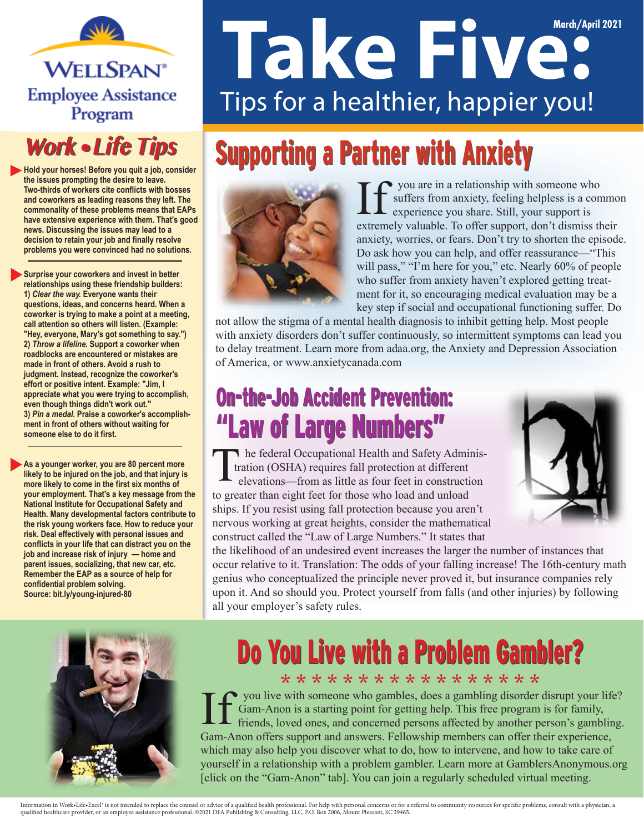

#### **Work • Life Tips**

**Hold your horses! Before you quit a job, consider the issues prompting the desire to leave. Two-thirds of workers cite conflicts with bosses and coworkers as leading reasons they left. The commonality of these problems means that EAPs have extensive experience with them. That's good news. Discussing the issues may lead to a decision to retain your job and finally resolve problems you were convinced had no solutions.**

**Surprise your coworkers and invest in better relationships using these friendship builders: 1)** *Clear the way.* **Everyone wants their questions, ideas, and concerns heard. When a coworker is trying to make a point at a meeting, call attention so others will listen. (Example: "Hey, everyone, Mary's got something to say.") 2)** *Throw a lifeline.* **Support a coworker when roadblocks are encountered or mistakes are made in front of others. Avoid a rush to judgment. Instead, recognize the coworker's effort or positive intent. Example: "Jim, I appreciate what you were trying to accomplish, even though things didn't work out." 3)** *Pin a medal.* **Praise a coworker's accomplishment in front of others without waiting for someone else to do it first.**

**As a younger worker, you are 80 percent more likely to be injured on the job, and that injury is more likely to come in the first six months of your employment. That's a key message from the National Institute for Occupational Safety and Health. Many developmental factors contribute to the risk young workers face. How to reduce your risk. Deal effectively with personal issues and conflicts in your life that can distract you on the job and increase risk of injury — home and parent issues, socializing, that new car, etc. Remember the EAP as a source of help for confidential problem solving. Source: bit.ly/young-injured-80**

# **March/April 2021** Tips for a healthier, happier you!

## Supporting a Partner with Anxiety



you are in a relationship with someone who suffers from anxiety, feeling helpless is a common experience you share. Still, your support is extremely valuable. To offer support, don't dismiss their anxiety, worries, or fears. Don't try to shorten the episode. Do ask how you can help, and offer reassurance—"This will pass," "I'm here for you," etc. Nearly 60% of people who suffer from anxiety haven't explored getting treatment for it, so encouraging medical evaluation may be a key step if social and occupational functioning suffer. Do

not allow the stigma of a mental health diagnosis to inhibit getting help. Most people with anxiety disorders don't suffer continuously, so intermittent symptoms can lead you to delay treatment. Learn more from adaa.org, the Anxiety and Depression Association of America, or www.anxietycanada.com

#### On-the-Job Accident Prevention: On-the-Job Accident Prevention: "Law of Large Numbers" "Law of Large Numbers"

The federal Occupational Health and Safety Administration (OSHA) requires fall protection at different elevations—from as little as four feet in construction to greater than eight feet for those who load and unload ships. If you resist using fall protection because you aren't nervous working at great heights, consider the mathematical construct called the "Law of Large Numbers." It states that



the likelihood of an undesired event increases the larger the number of instances that occur relative to it. Translation: The odds of your falling increase! The 16th-century math genius who conceptualized the principle never proved it, but insurance companies rely upon it. And so should you. Protect yourself from falls (and other injuries) by following all your employer's safety rules.



## Do You Live with a Problem Gambler?

\* \* \* \* \* \* \* \* \* \* \* \* \* \* \* \* \* you live with someone who gambles, does a gambling disorder disrupt your life? Gam-Anon is a starting point for getting help. This free program is for family, friends, loved ones, and concerned persons affected by another person's gambling. Gam-Anon offers support and answers. Fellowship members can offer their experience, which may also help you discover what to do, how to intervene, and how to take care of yourself in a relationship with a problem gambler. Learn more at GamblersAnonymous.org [click on the "Gam-Anon" tab]. You can join a regularly scheduled virtual meeting.